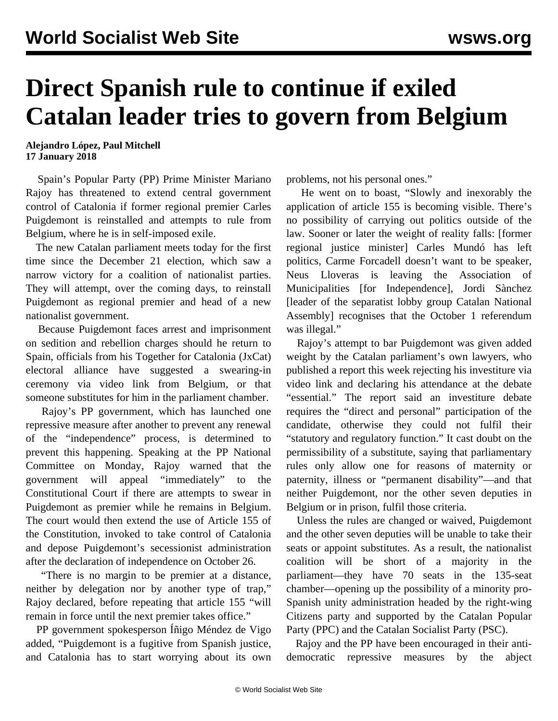## **Direct Spanish rule to continue if exiled Catalan leader tries to govern from Belgium**

**Alejandro López, Paul Mitchell 17 January 2018**

 Spain's Popular Party (PP) Prime Minister Mariano Rajoy has threatened to extend central government control of Catalonia if former regional premier Carles Puigdemont is reinstalled and attempts to rule from Belgium, where he is in self-imposed exile.

 The new Catalan parliament meets today for the first time since the December 21 election, which saw a narrow victory for a coalition of nationalist parties. They will attempt, over the coming days, to reinstall Puigdemont as regional premier and head of a new nationalist government.

 Because Puigdemont faces arrest and imprisonment on sedition and rebellion charges should he return to Spain, officials from his Together for Catalonia (JxCat) electoral alliance have suggested a swearing-in ceremony via video link from Belgium, or that someone substitutes for him in the parliament chamber.

 Rajoy's PP government, which has launched one repressive measure after another to prevent any renewal of the "independence" process, is determined to prevent this happening. Speaking at the PP National Committee on Monday, Rajoy warned that the government will appeal "immediately" to the Constitutional Court if there are attempts to swear in Puigdemont as premier while he remains in Belgium. The court would then extend the use of Article 155 of the Constitution, invoked to take control of Catalonia and depose Puigdemont's secessionist administration after the declaration of independence on October 26.

 "There is no margin to be premier at a distance, neither by delegation nor by another type of trap," Rajoy declared, before repeating that article 155 "will remain in force until the next premier takes office."

 PP government spokesperson Íñigo Méndez de Vigo added, "Puigdemont is a fugitive from Spanish justice, and Catalonia has to start worrying about its own problems, not his personal ones."

 He went on to boast, "Slowly and inexorably the application of article 155 is becoming visible. There's no possibility of carrying out politics outside of the law. Sooner or later the weight of reality falls: [former regional justice minister] Carles Mundó has left politics, Carme Forcadell doesn't want to be speaker, Neus Lloveras is leaving the Association of Municipalities [for Independence], Jordi Sànchez [leader of the separatist lobby group Catalan National Assembly] recognises that the October 1 referendum was illegal."

 Rajoy's attempt to bar Puigdemont was given added weight by the Catalan parliament's own lawyers, who published a report this week rejecting his investiture via video link and declaring his attendance at the debate "essential." The report said an investiture debate requires the "direct and personal" participation of the candidate, otherwise they could not fulfil their "statutory and regulatory function." It cast doubt on the permissibility of a substitute, saying that parliamentary rules only allow one for reasons of maternity or paternity, illness or "permanent disability"—and that neither Puigdemont, nor the other seven deputies in Belgium or in prison, fulfil those criteria.

 Unless the rules are changed or waived, Puigdemont and the other seven deputies will be unable to take their seats or appoint substitutes. As a result, the nationalist coalition will be short of a majority in the parliament—they have 70 seats in the 135-seat chamber—opening up the possibility of a minority pro-Spanish unity administration headed by the right-wing Citizens party and supported by the Catalan Popular Party (PPC) and the Catalan Socialist Party (PSC).

 Rajoy and the PP have been encouraged in their antidemocratic repressive measures by the abject